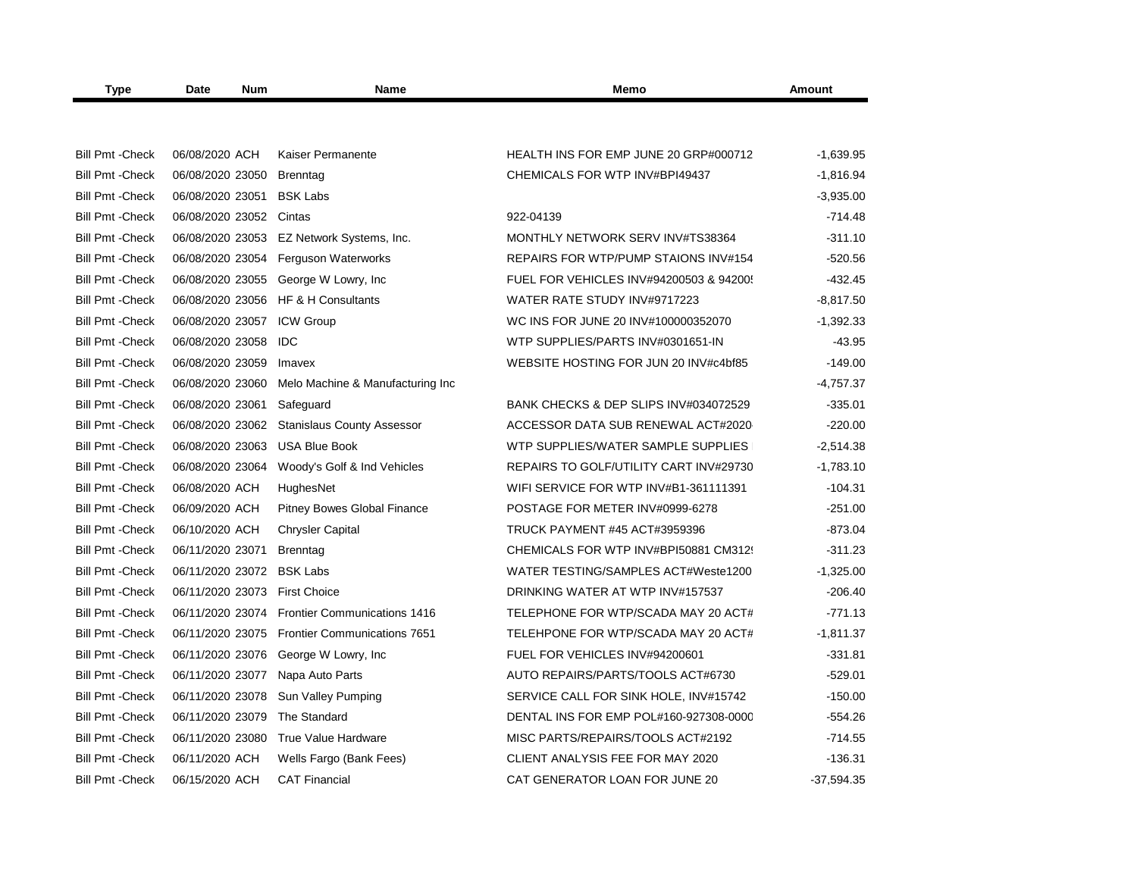| <b>Type</b>             | Date<br><b>Num</b>        | <b>Name</b><br>Memo                 |                                         | Amount       |
|-------------------------|---------------------------|-------------------------------------|-----------------------------------------|--------------|
|                         |                           |                                     |                                         |              |
| <b>Bill Pmt - Check</b> | 06/08/2020 ACH            | Kaiser Permanente                   | HEALTH INS FOR EMP JUNE 20 GRP#000712   | $-1,639.95$  |
| <b>Bill Pmt - Check</b> | 06/08/2020 23050          | Brenntag                            | CHEMICALS FOR WTP INV#BPI49437          | $-1,816.94$  |
| <b>Bill Pmt - Check</b> | 06/08/2020 23051          | <b>BSK Labs</b>                     |                                         | $-3,935.00$  |
| <b>Bill Pmt - Check</b> | 06/08/2020 23052          | Cintas                              | 922-04139                               | $-714.48$    |
| <b>Bill Pmt - Check</b> | 06/08/2020 23053          | EZ Network Systems, Inc.            | MONTHLY NETWORK SERV INV#TS38364        | $-311.10$    |
| <b>Bill Pmt - Check</b> | 06/08/2020 23054          | <b>Ferguson Waterworks</b>          | REPAIRS FOR WTP/PUMP STAIONS INV#154    | $-520.56$    |
| <b>Bill Pmt - Check</b> | 06/08/2020 23055          | George W Lowry, Inc.                | FUEL FOR VEHICLES INV#94200503 & 94200! | $-432.45$    |
| <b>Bill Pmt - Check</b> | 06/08/2020 23056          | HF & H Consultants                  | WATER RATE STUDY INV#9717223            | $-8.817.50$  |
| <b>Bill Pmt - Check</b> | 06/08/2020 23057          | <b>ICW Group</b>                    | WC INS FOR JUNE 20 INV#100000352070     | $-1,392.33$  |
| <b>Bill Pmt - Check</b> | 06/08/2020 23058          | <b>IDC</b>                          | WTP SUPPLIES/PARTS INV#0301651-IN       | $-43.95$     |
| <b>Bill Pmt - Check</b> | 06/08/2020 23059          | Imavex                              | WEBSITE HOSTING FOR JUN 20 INV#c4bf85   | $-149.00$    |
| <b>Bill Pmt - Check</b> | 06/08/2020 23060          | Melo Machine & Manufacturing Inc    |                                         | $-4,757.37$  |
| <b>Bill Pmt - Check</b> | 06/08/2020 23061          | Safeguard                           | BANK CHECKS & DEP SLIPS INV#034072529   | $-335.01$    |
| <b>Bill Pmt - Check</b> | 06/08/2020 23062          | <b>Stanislaus County Assessor</b>   | ACCESSOR DATA SUB RENEWAL ACT#2020      | $-220.00$    |
| <b>Bill Pmt - Check</b> | 06/08/2020 23063          | <b>USA Blue Book</b>                | WTP SUPPLIES/WATER SAMPLE SUPPLIES      | $-2,514.38$  |
| <b>Bill Pmt - Check</b> | 06/08/2020 23064          | Woody's Golf & Ind Vehicles         | REPAIRS TO GOLF/UTILITY CART INV#29730  | $-1,783.10$  |
| <b>Bill Pmt - Check</b> | 06/08/2020 ACH            | HughesNet                           | WIFI SERVICE FOR WTP INV#B1-361111391   | $-104.31$    |
| <b>Bill Pmt - Check</b> | 06/09/2020 ACH            | <b>Pitney Bowes Global Finance</b>  | POSTAGE FOR METER INV#0999-6278         | $-251.00$    |
| <b>Bill Pmt - Check</b> | 06/10/2020 ACH            | <b>Chrysler Capital</b>             | <b>TRUCK PAYMENT #45 ACT#3959396</b>    | $-873.04$    |
| <b>Bill Pmt - Check</b> | 06/11/2020 23071          | <b>Brenntag</b>                     | CHEMICALS FOR WTP INV#BPI50881 CM3129   | $-311.23$    |
| <b>Bill Pmt - Check</b> | 06/11/2020 23072 BSK Labs |                                     | WATER TESTING/SAMPLES ACT#Weste1200     | $-1,325.00$  |
| <b>Bill Pmt - Check</b> | 06/11/2020 23073          | <b>First Choice</b>                 | DRINKING WATER AT WTP INV#157537        | $-206.40$    |
| <b>Bill Pmt - Check</b> | 06/11/2020 23074          | <b>Frontier Communications 1416</b> | TELEPHONE FOR WTP/SCADA MAY 20 ACT#     | $-771.13$    |
| <b>Bill Pmt - Check</b> | 06/11/2020 23075          | <b>Frontier Communications 7651</b> | TELEHPONE FOR WTP/SCADA MAY 20 ACT#     | $-1,811.37$  |
| <b>Bill Pmt - Check</b> | 06/11/2020 23076          | George W Lowry, Inc.                | FUEL FOR VEHICLES INV#94200601          | $-331.81$    |
| <b>Bill Pmt - Check</b> | 06/11/2020 23077          | Napa Auto Parts                     | AUTO REPAIRS/PARTS/TOOLS ACT#6730       | $-529.01$    |
| <b>Bill Pmt - Check</b> | 06/11/2020 23078          | Sun Valley Pumping                  | SERVICE CALL FOR SINK HOLE, INV#15742   | $-150.00$    |
| <b>Bill Pmt - Check</b> | 06/11/2020 23079          | The Standard                        | DENTAL INS FOR EMP POL#160-927308-0000  | $-554.26$    |
| <b>Bill Pmt - Check</b> | 06/11/2020 23080          | True Value Hardware                 | MISC PARTS/REPAIRS/TOOLS ACT#2192       | $-714.55$    |
| <b>Bill Pmt - Check</b> | 06/11/2020 ACH            | Wells Fargo (Bank Fees)             | CLIENT ANALYSIS FEE FOR MAY 2020        | $-136.31$    |
| <b>Bill Pmt - Check</b> | 06/15/2020 ACH            | <b>CAT Financial</b>                | CAT GENERATOR LOAN FOR JUNE 20          | $-37,594.35$ |
|                         |                           |                                     |                                         |              |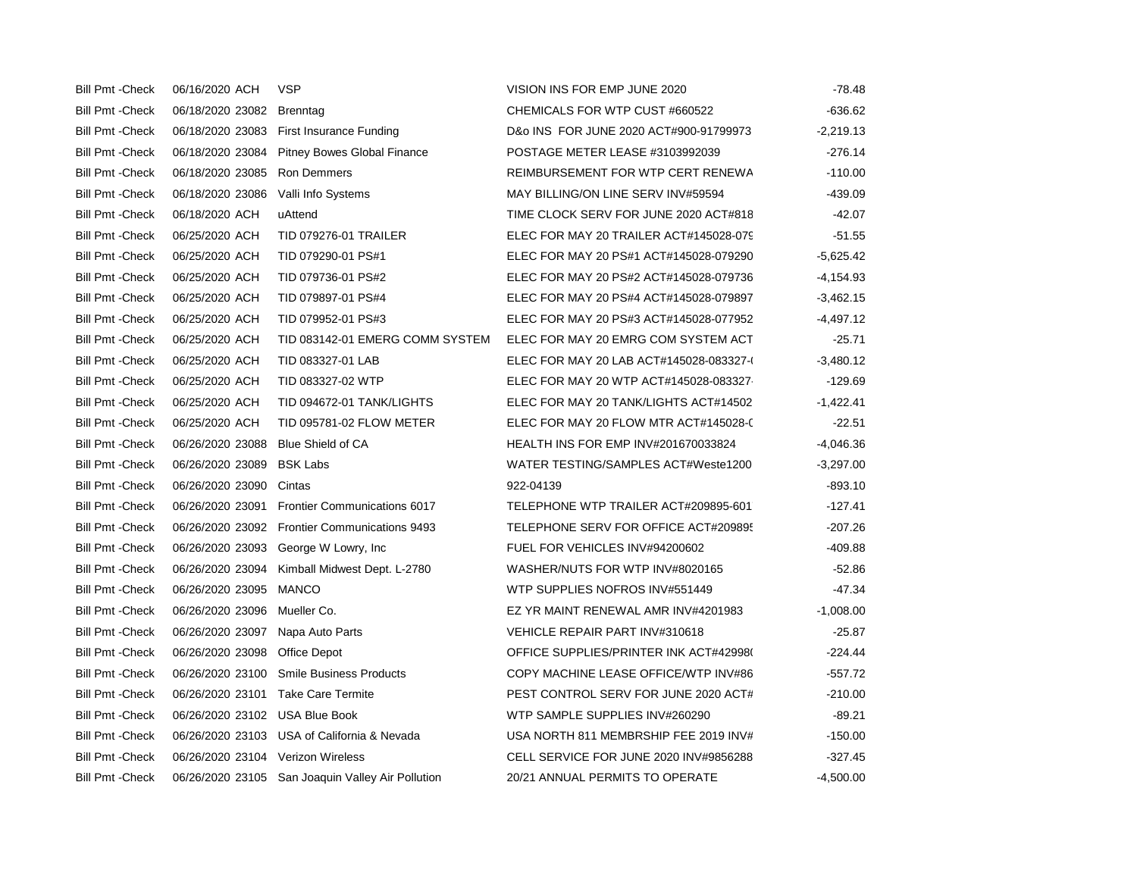| <b>Bill Pmt - Check</b> | 06/16/2020 ACH                    | <b>VSP</b>                                        | VISION INS FOR EMP JUNE 2020            | $-78.48$    |
|-------------------------|-----------------------------------|---------------------------------------------------|-----------------------------------------|-------------|
| <b>Bill Pmt - Check</b> | 06/18/2020 23082                  | Brenntag                                          | CHEMICALS FOR WTP CUST #660522          | $-636.62$   |
| <b>Bill Pmt - Check</b> | 06/18/2020 23083                  | First Insurance Funding                           | D&o INS FOR JUNE 2020 ACT#900-91799973  | $-2,219.13$ |
| <b>Bill Pmt - Check</b> | 06/18/2020 23084                  | <b>Pitney Bowes Global Finance</b>                | POSTAGE METER LEASE #3103992039         | $-276.14$   |
| <b>Bill Pmt - Check</b> | 06/18/2020 23085                  | Ron Demmers                                       | REIMBURSEMENT FOR WTP CERT RENEWA       | $-110.00$   |
| <b>Bill Pmt - Check</b> | 06/18/2020 23086                  | Valli Info Systems                                | MAY BILLING/ON LINE SERV INV#59594      | -439.09     |
| <b>Bill Pmt - Check</b> | 06/18/2020 ACH                    | uAttend                                           | TIME CLOCK SERV FOR JUNE 2020 ACT#818   | $-42.07$    |
| <b>Bill Pmt - Check</b> | 06/25/2020 ACH                    | <b>TID 079276-01 TRAILER</b>                      | ELEC FOR MAY 20 TRAILER ACT#145028-079  | $-51.55$    |
| <b>Bill Pmt - Check</b> | 06/25/2020 ACH                    | TID 079290-01 PS#1                                | ELEC FOR MAY 20 PS#1 ACT#145028-079290  | $-5,625.42$ |
| <b>Bill Pmt - Check</b> | 06/25/2020 ACH                    | TID 079736-01 PS#2                                | ELEC FOR MAY 20 PS#2 ACT#145028-079736  | -4,154.93   |
| <b>Bill Pmt - Check</b> | 06/25/2020 ACH                    | TID 079897-01 PS#4                                | ELEC FOR MAY 20 PS#4 ACT#145028-079897  | $-3,462.15$ |
| <b>Bill Pmt - Check</b> | 06/25/2020 ACH                    | TID 079952-01 PS#3                                | ELEC FOR MAY 20 PS#3 ACT#145028-077952  | $-4,497.12$ |
| <b>Bill Pmt - Check</b> | 06/25/2020 ACH                    | TID 083142-01 EMERG COMM SYSTEM                   | ELEC FOR MAY 20 EMRG COM SYSTEM ACT     | $-25.71$    |
| <b>Bill Pmt - Check</b> | 06/25/2020 ACH                    | TID 083327-01 LAB                                 | ELEC FOR MAY 20 LAB ACT#145028-083327-0 | $-3,480.12$ |
| <b>Bill Pmt - Check</b> | 06/25/2020 ACH                    | TID 083327-02 WTP                                 | ELEC FOR MAY 20 WTP ACT#145028-083327   | $-129.69$   |
| <b>Bill Pmt - Check</b> | 06/25/2020 ACH                    | TID 094672-01 TANK/LIGHTS                         | ELEC FOR MAY 20 TANK/LIGHTS ACT#14502   | $-1,422.41$ |
| <b>Bill Pmt - Check</b> | 06/25/2020 ACH                    | TID 095781-02 FLOW METER                          | ELEC FOR MAY 20 FLOW MTR ACT#145028-0   | $-22.51$    |
| <b>Bill Pmt - Check</b> | 06/26/2020 23088                  | Blue Shield of CA                                 | HEALTH INS FOR EMP INV#201670033824     | $-4,046.36$ |
| <b>Bill Pmt - Check</b> | 06/26/2020 23089                  | <b>BSK Labs</b>                                   | WATER TESTING/SAMPLES ACT#Weste1200     | $-3,297.00$ |
| <b>Bill Pmt - Check</b> | 06/26/2020 23090                  | Cintas                                            | 922-04139                               | $-893.10$   |
| <b>Bill Pmt - Check</b> |                                   | 06/26/2020 23091 Frontier Communications 6017     | TELEPHONE WTP TRAILER ACT#209895-601    | $-127.41$   |
| <b>Bill Pmt - Check</b> |                                   | 06/26/2020 23092 Frontier Communications 9493     | TELEPHONE SERV FOR OFFICE ACT#209895    | $-207.26$   |
| <b>Bill Pmt - Check</b> |                                   | 06/26/2020 23093 George W Lowry, Inc.             | FUEL FOR VEHICLES INV#94200602          | $-409.88$   |
| <b>Bill Pmt - Check</b> | 06/26/2020 23094                  | Kimball Midwest Dept. L-2780                      | WASHER/NUTS FOR WTP INV#8020165         | $-52.86$    |
| <b>Bill Pmt - Check</b> | 06/26/2020 23095 MANCO            |                                                   | WTP SUPPLIES NOFROS INV#551449          | $-47.34$    |
| <b>Bill Pmt - Check</b> | 06/26/2020 23096                  | Mueller Co.                                       | EZ YR MAINT RENEWAL AMR INV#4201983     | $-1,008.00$ |
| <b>Bill Pmt - Check</b> | 06/26/2020 23097                  | Napa Auto Parts                                   | VEHICLE REPAIR PART INV#310618          | $-25.87$    |
| <b>Bill Pmt - Check</b> | 06/26/2020 23098                  | Office Depot                                      | OFFICE SUPPLIES/PRINTER INK ACT#42998(  | $-224.44$   |
| <b>Bill Pmt -Check</b>  | 06/26/2020 23100                  | <b>Smile Business Products</b>                    | COPY MACHINE LEASE OFFICE/WTP INV#86    | $-557.72$   |
| <b>Bill Pmt - Check</b> |                                   | 06/26/2020 23101 Take Care Termite                | PEST CONTROL SERV FOR JUNE 2020 ACT#    | $-210.00$   |
| <b>Bill Pmt - Check</b> | 06/26/2020 23102 USA Blue Book    |                                                   | WTP SAMPLE SUPPLIES INV#260290          | $-89.21$    |
| <b>Bill Pmt - Check</b> |                                   | 06/26/2020 23103 USA of California & Nevada       | USA NORTH 811 MEMBRSHIP FEE 2019 INV#   | $-150.00$   |
| <b>Bill Pmt - Check</b> | 06/26/2020 23104 Verizon Wireless |                                                   | CELL SERVICE FOR JUNE 2020 INV#9856288  | $-327.45$   |
| <b>Bill Pmt - Check</b> |                                   | 06/26/2020 23105 San Joaquin Valley Air Pollution | 20/21 ANNUAL PERMITS TO OPERATE         | $-4,500.00$ |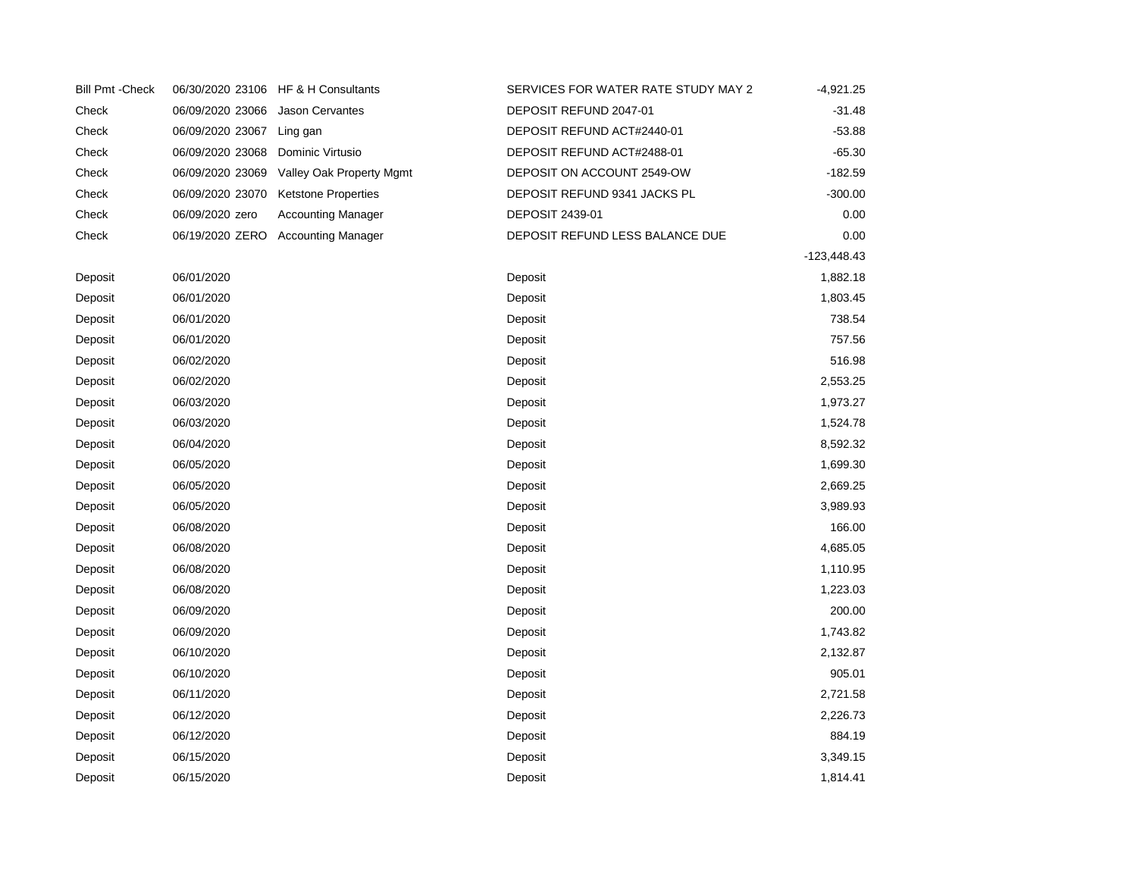| <b>Bill Pmt - Check</b> |                  | 06/30/2020 23106 HF & H Consultants | SERVICES FOR WATER RATE STUDY MAY 2 | $-4,921.25$   |
|-------------------------|------------------|-------------------------------------|-------------------------------------|---------------|
| Check                   | 06/09/2020 23066 | Jason Cervantes                     | DEPOSIT REFUND 2047-01              | $-31.48$      |
| Check                   | 06/09/2020 23067 | Ling gan                            | DEPOSIT REFUND ACT#2440-01          | $-53.88$      |
| Check                   | 06/09/2020 23068 | Dominic Virtusio                    | DEPOSIT REFUND ACT#2488-01          | $-65.30$      |
| Check                   | 06/09/2020 23069 | Valley Oak Property Mgmt            | DEPOSIT ON ACCOUNT 2549-OW          | $-182.59$     |
| Check                   | 06/09/2020 23070 | <b>Ketstone Properties</b>          | DEPOSIT REFUND 9341 JACKS PL        | $-300.00$     |
| Check                   | 06/09/2020 zero  | Accounting Manager                  | <b>DEPOSIT 2439-01</b>              | 0.00          |
| Check                   |                  | 06/19/2020 ZERO Accounting Manager  | DEPOSIT REFUND LESS BALANCE DUE     | 0.00          |
|                         |                  |                                     |                                     | $-123,448.43$ |
| Deposit                 | 06/01/2020       |                                     | Deposit                             | 1,882.18      |
| Deposit                 | 06/01/2020       |                                     | Deposit                             | 1,803.45      |
| Deposit                 | 06/01/2020       |                                     | Deposit                             | 738.54        |
| Deposit                 | 06/01/2020       |                                     | Deposit                             | 757.56        |
| Deposit                 | 06/02/2020       |                                     | Deposit                             | 516.98        |
| Deposit                 | 06/02/2020       |                                     | Deposit                             | 2,553.25      |
| Deposit                 | 06/03/2020       |                                     | Deposit                             | 1,973.27      |
| Deposit                 | 06/03/2020       |                                     | Deposit                             | 1,524.78      |
| Deposit                 | 06/04/2020       |                                     | Deposit                             | 8,592.32      |
| Deposit                 | 06/05/2020       |                                     | Deposit                             | 1,699.30      |
| Deposit                 | 06/05/2020       |                                     | Deposit                             | 2,669.25      |
| Deposit                 | 06/05/2020       |                                     | Deposit                             | 3,989.93      |
| Deposit                 | 06/08/2020       |                                     | Deposit                             | 166.00        |
| Deposit                 | 06/08/2020       |                                     | Deposit                             | 4,685.05      |
| Deposit                 | 06/08/2020       |                                     | Deposit                             | 1,110.95      |
| Deposit                 | 06/08/2020       |                                     | Deposit                             | 1,223.03      |
| Deposit                 | 06/09/2020       |                                     | Deposit                             | 200.00        |
| Deposit                 | 06/09/2020       |                                     | Deposit                             | 1,743.82      |
| Deposit                 | 06/10/2020       |                                     | Deposit                             | 2,132.87      |
| Deposit                 | 06/10/2020       |                                     | Deposit                             | 905.01        |
| Deposit                 | 06/11/2020       |                                     | Deposit                             | 2,721.58      |
| Deposit                 | 06/12/2020       |                                     | Deposit                             | 2,226.73      |
| Deposit                 | 06/12/2020       |                                     | Deposit                             | 884.19        |
| Deposit                 | 06/15/2020       |                                     | Deposit                             | 3,349.15      |
| Deposit                 | 06/15/2020       |                                     | Deposit                             | 1,814.41      |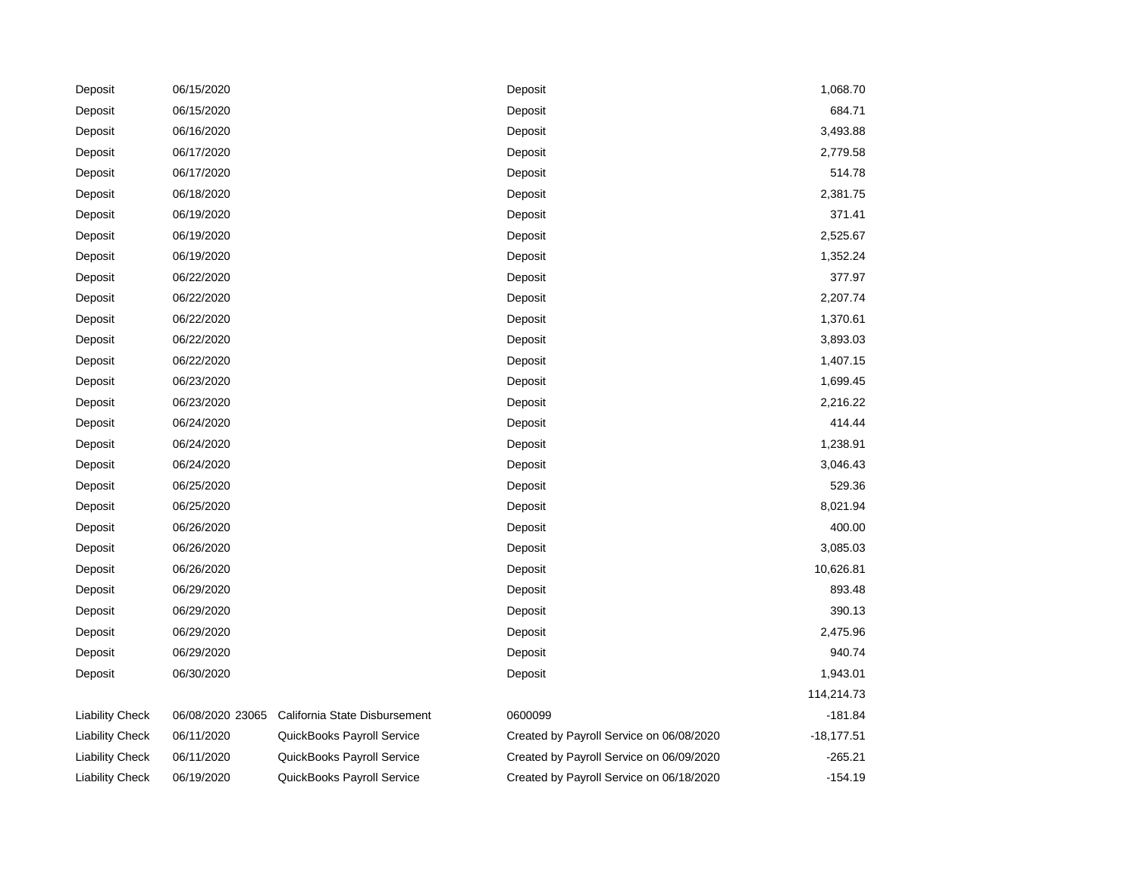| Deposit                | 06/15/2020       |                               | Deposit                                  | 1,068.70     |
|------------------------|------------------|-------------------------------|------------------------------------------|--------------|
| Deposit                | 06/15/2020       |                               | Deposit                                  | 684.71       |
| Deposit                | 06/16/2020       |                               | Deposit                                  | 3,493.88     |
| Deposit                | 06/17/2020       |                               | Deposit                                  | 2,779.58     |
| Deposit                | 06/17/2020       |                               | Deposit                                  | 514.78       |
| Deposit                | 06/18/2020       |                               | Deposit                                  | 2,381.75     |
| Deposit                | 06/19/2020       |                               | Deposit                                  | 371.41       |
| Deposit                | 06/19/2020       |                               | Deposit                                  | 2,525.67     |
| Deposit                | 06/19/2020       |                               | Deposit                                  | 1,352.24     |
| Deposit                | 06/22/2020       |                               | Deposit                                  | 377.97       |
| Deposit                | 06/22/2020       |                               | Deposit                                  | 2,207.74     |
| Deposit                | 06/22/2020       |                               | Deposit                                  | 1,370.61     |
| Deposit                | 06/22/2020       |                               | Deposit                                  | 3,893.03     |
| Deposit                | 06/22/2020       |                               | Deposit                                  | 1,407.15     |
| Deposit                | 06/23/2020       |                               | Deposit                                  | 1,699.45     |
| Deposit                | 06/23/2020       |                               | Deposit                                  | 2,216.22     |
| Deposit                | 06/24/2020       |                               | Deposit                                  | 414.44       |
| Deposit                | 06/24/2020       |                               | Deposit                                  | 1,238.91     |
| Deposit                | 06/24/2020       |                               | Deposit                                  | 3,046.43     |
| Deposit                | 06/25/2020       |                               | Deposit                                  | 529.36       |
| Deposit                | 06/25/2020       |                               | Deposit                                  | 8,021.94     |
| Deposit                | 06/26/2020       |                               | Deposit                                  | 400.00       |
| Deposit                | 06/26/2020       |                               | Deposit                                  | 3,085.03     |
| Deposit                | 06/26/2020       |                               | Deposit                                  | 10,626.81    |
| Deposit                | 06/29/2020       |                               | Deposit                                  | 893.48       |
| Deposit                | 06/29/2020       |                               | Deposit                                  | 390.13       |
| Deposit                | 06/29/2020       |                               | Deposit                                  | 2,475.96     |
| Deposit                | 06/29/2020       |                               | Deposit                                  | 940.74       |
| Deposit                | 06/30/2020       |                               | Deposit                                  | 1,943.01     |
|                        |                  |                               |                                          | 114,214.73   |
| <b>Liability Check</b> | 06/08/2020 23065 | California State Disbursement | 0600099                                  | $-181.84$    |
| <b>Liability Check</b> | 06/11/2020       | QuickBooks Payroll Service    | Created by Payroll Service on 06/08/2020 | $-18,177.51$ |
| <b>Liability Check</b> | 06/11/2020       | QuickBooks Payroll Service    | Created by Payroll Service on 06/09/2020 | $-265.21$    |
| <b>Liability Check</b> | 06/19/2020       | QuickBooks Payroll Service    | Created by Payroll Service on 06/18/2020 | -154.19      |